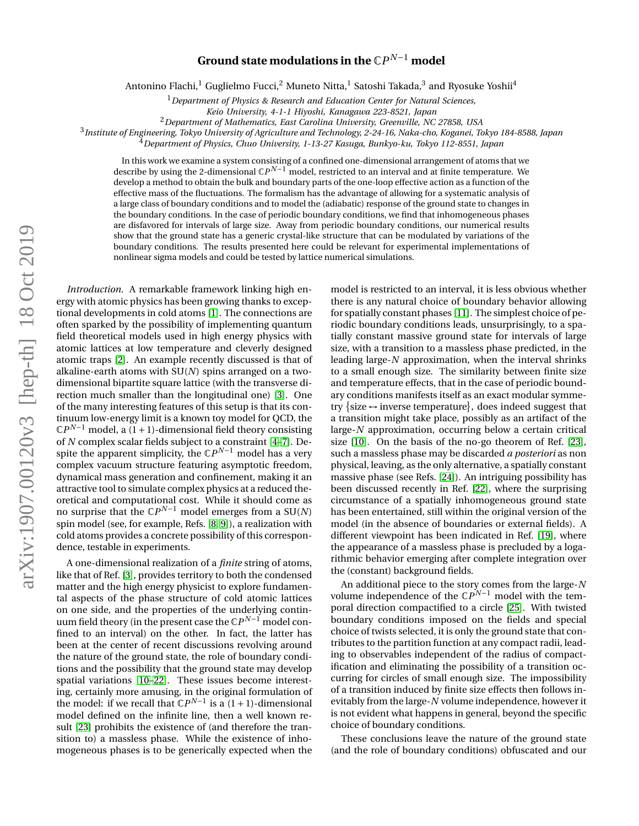## arXiv:1907.00120v3 [hep-th] 18 Oct 2019 arXiv:1907.00120v3 [hep-th] 18 Oct 2019

## ${\bf Ground\ state\ modulations\ in\ the\ \mathbb{C}P^{N-1}\ model}$

Antonino Flachi, $^1$  Guglielmo Fucci, $^2$  Muneto Nitta, $^1$  Satoshi Takada, $^3$  and Ryosuke Yoshii $^4$ 

<sup>1</sup>*Department of Physics & Research and Education Center for Natural Sciences,*

<sup>2</sup>*Department of Mathematics, East Carolina University, Greenville, NC 27858, USA*

3 *Institute of Engineering, Tokyo University of Agriculture and Technology, 2-24-16, Naka-cho, Koganei, Tokyo 184-8588, Japan*

<sup>4</sup>*Department of Physics, Chuo University, 1-13-27 Kasuga, Bunkyo-ku, Tokyo 112-8551, Japan*

In this work we examine a system consisting of a confined one-dimensional arrangement of atoms that we describe by using the 2-dimensional  $\mathbb{C}P^{N-1}$  model, restricted to an interval and at finite temperature. We develop a method to obtain the bulk and boundary parts of the one-loop effective action as a function of the effective mass of the fluctuations. The formalism has the advantage of allowing for a systematic analysis of a large class of boundary conditions and to model the (adiabatic) response of the ground state to changes in the boundary conditions. In the case of periodic boundary conditions, we find that inhomogeneous phases are disfavored for intervals of large size. Away from periodic boundary conditions, our numerical results show that the ground state has a generic crystal-like structure that can be modulated by variations of the boundary conditions. The results presented here could be relevant for experimental implementations of nonlinear sigma models and could be tested by lattice numerical simulations.

*Introduction.* A remarkable framework linking high energy with atomic physics has been growing thanks to exceptional developments in cold atoms [\[1\]](#page-5-0). The connections are often sparked by the possibility of implementing quantum field theoretical models used in high energy physics with atomic lattices at low temperature and cleverly designed atomic traps [\[2\]](#page-5-1). An example recently discussed is that of alkaline-earth atoms with SU(*N*) spins arranged on a twodimensional bipartite square lattice (with the transverse direction much smaller than the longitudinal one) [\[3\]](#page-5-2). One of the many interesting features of this setup is that its continuum low-energy limit is a known toy model for QCD, the  $\mathbb{C}P^{N-1}$  model, a  $(1 + 1)$ -dimensional field theory consisting of *N* complex scalar fields subject to a constraint [\[4](#page-5-3)[–7\]](#page-5-4). Despite the apparent simplicity, the  $\mathbb{C}P^{N-1}$  model has a very complex vacuum structure featuring asymptotic freedom, dynamical mass generation and confinement, making it an attractive tool to simulate complex physics at a reduced theoretical and computational cost. While it should come as no surprise that the  $\mathbb{C}P^{N-1}$  model emerges from a SU(*N*) spin model (see, for example, Refs. [\[8,](#page-5-5) [9\]](#page-5-6)), a realization with cold atoms provides a concrete possibility of this correspondence, testable in experiments.

A one-dimensional realization of a *finite* string of atoms, like that of Ref. [\[3\]](#page-5-2), provides territory to both the condensed matter and the high energy physicist to explore fundamental aspects of the phase structure of cold atomic lattices on one side, and the properties of the underlying continuum field theory (in the present case the C*P <sup>N</sup>*−<sup>1</sup> model confined to an interval) on the other. In fact, the latter has been at the center of recent discussions revolving around the nature of the ground state, the role of boundary conditions and the possibility that the ground state may develop spatial variations [\[10](#page-5-7)[–22\]](#page-5-8). These issues become interesting, certainly more amusing, in the original formulation of the model: if we recall that  $\mathbb{C}P^{N-1}$  is a (1 + 1)-dimensional model defined on the infinite line, then a well known result [\[23\]](#page-5-9) prohibits the existence of (and therefore the transition to) a massless phase. While the existence of inhomogeneous phases is to be generically expected when the

model is restricted to an interval, it is less obvious whether there is any natural choice of boundary behavior allowing for spatially constant phases [\[11\]](#page-5-10). The simplest choice of periodic boundary conditions leads, unsurprisingly, to a spatially constant massive ground state for intervals of large size, with a transition to a massless phase predicted, in the leading large-*N* approximation, when the interval shrinks to a small enough size. The similarity between finite size and temperature effects, that in the case of periodic boundary conditions manifests itself as an exact modular symmetry {size  $\leftrightarrow$  inverse temperature}, does indeed suggest that a transition might take place, possibly as an artifact of the large-*N* approximation, occurring below a certain critical size [\[10\]](#page-5-7). On the basis of the no-go theorem of Ref. [\[23\]](#page-5-9), such a massless phase may be discarded *a posteriori* as non physical, leaving, as the only alternative, a spatially constant massive phase (see Refs. [\[24\]](#page-5-11)). An intriguing possibility has been discussed recently in Ref. [\[22\]](#page-5-8), where the surprising circumstance of a spatially inhomogeneous ground state has been entertained, still within the original version of the model (in the absence of boundaries or external fields). A different viewpoint has been indicated in Ref. [\[19\]](#page-5-12), where the appearance of a massless phase is precluded by a logarithmic behavior emerging after complete integration over the (constant) background fields.

An additional piece to the story comes from the large-*N* volume independence of the  $\mathbb{C}P^{N-1}$  model with the temporal direction compactified to a circle [\[25\]](#page-6-0). With twisted boundary conditions imposed on the fields and special choice of twists selected, it is only the ground state that contributes to the partition function at any compact radii, leading to observables independent of the radius of compactification and eliminating the possibility of a transition occurring for circles of small enough size. The impossibility of a transition induced by finite size effects then follows inevitably from the large-*N* volume independence, however it is not evident what happens in general, beyond the specific choice of boundary conditions.

These conclusions leave the nature of the ground state (and the role of boundary conditions) obfuscated and our

*Keio University, 4-1-1 Hiyoshi, Kanagawa 223-8521, Japan*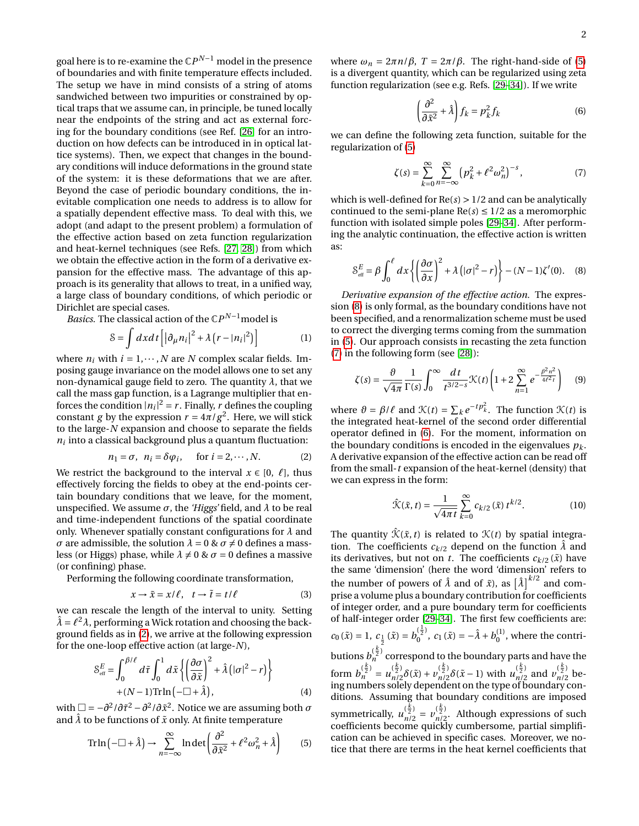goal here is to re-examine the  $\mathbb{C}P^{N-1}$  model in the presence of boundaries and with finite temperature effects included. The setup we have in mind consists of a string of atoms sandwiched between two impurities or constrained by optical traps that we assume can, in principle, be tuned locally near the endpoints of the string and act as external forcing for the boundary conditions (see Ref. [\[26\]](#page-6-1) for an introduction on how defects can be introduced in in optical lattice systems). Then, we expect that changes in the boundary conditions will induce deformations in the ground state of the system: it is these deformations that we are after. Beyond the case of periodic boundary conditions, the inevitable complication one needs to address is to allow for a spatially dependent effective mass. To deal with this, we adopt (and adapt to the present problem) a formulation of the effective action based on zeta function regularization and heat-kernel techniques (see Refs. [\[27,](#page-6-2) [28\]](#page-6-3)) from which we obtain the effective action in the form of a derivative expansion for the effective mass. The advantage of this approach is its generality that allows to treat, in a unified way, a large class of boundary conditions, of which periodic or Dirichlet are special cases.

*Basics*. The classical action of the ℂ*P*<sup>*N*−1</sup>model is

$$
S = \int dx dt \left[ \left| \partial_{\mu} n_i \right|^2 + \lambda \left( r - |n_i|^2 \right) \right]
$$
 (1)

where  $n_i$  with  $i = 1, \dots, N$  are *N* complex scalar fields. Imposing gauge invariance on the model allows one to set any non-dynamical gauge field to zero. The quantity *λ*, that we call the mass gap function, is a Lagrange multiplier that enforces the condition  $|n_i|^2 = r$ . Finally, *r* defines the coupling constant *g* by the expression  $r = 4\pi/g^2$ . Here, we will stick to the large-*N* expansion and choose to separate the fields  $n_i$  into a classical background plus a quantum fluctuation:

<span id="page-1-0"></span>
$$
n_1 = \sigma, \ \ n_i = \delta\varphi_i, \quad \text{for } i = 2, \cdots, N. \tag{2}
$$

We restrict the background to the interval  $x \in [0, \ell]$ , thus effectively forcing the fields to obey at the end-points certain boundary conditions that we leave, for the moment, unspecified. We assume  $\sigma$ , the *'Higgs'* field, and  $\lambda$  to be real and time-independent functions of the spatial coordinate only. Whenever spatially constant configurations for *λ* and *σ* are admissible, the solution  $λ = 0 & σ ≠ 0$  defines a massless (or Higgs) phase, while  $\lambda \neq 0$  &  $\sigma = 0$  defines a massive (or confining) phase.

Performing the following coordinate transformation,

$$
x \to \tilde{x} = x/\ell, \quad t \to \tilde{t} = t/\ell \tag{3}
$$

we can rescale the length of the interval to unity. Setting  $\hat{\lambda} = \ell^2 \lambda$ , performing a Wick rotation and choosing the background fields as in [\(2\)](#page-1-0), we arrive at the following expression for the one-loop effective action (at large-*N*),

$$
S_{\text{eff}}^{E} = \int_{0}^{\beta/\ell} d\tilde{\tau} \int_{0}^{1} d\tilde{x} \left\{ \left( \frac{\partial \sigma}{\partial \tilde{x}} \right)^{2} + \hat{\lambda} \left( |\sigma|^{2} - r \right) \right\} + (N - 1) \text{Tr} \ln \left( -\Box + \hat{\lambda} \right), \tag{4}
$$

with  $\Box = -\partial^2/\partial \tilde{\tau}^2 - \partial^2/\partial \tilde{x}^2$ . Notice we are assuming both  $\sigma$ and  $\hat{\lambda}$  to be functions of  $\tilde{x}$  only. At finite temperature

<span id="page-1-1"></span>
$$
\operatorname{Tr}\ln\left(-\Box + \hat{\lambda}\right) \to \sum_{n=-\infty}^{\infty} \ln \det\left(\frac{\partial^2}{\partial \tilde{x}^2} + \ell^2 \omega_n^2 + \hat{\lambda}\right) \tag{5}
$$

where  $ω<sub>n</sub> = 2πn/β$ ,  $T = 2π/β$ . The right-hand-side of [\(5\)](#page-1-1) is a divergent quantity, which can be regularized using zeta function regularization (see e.g. Refs. [\[29](#page-6-4)[–34\]](#page-6-5)). If we write

<span id="page-1-4"></span>
$$
\left(\frac{\partial^2}{\partial \tilde{x}^2} + \hat{\lambda}\right) f_k = p_k^2 f_k \tag{6}
$$

we can define the following zeta function, suitable for the regularization of [\(5\)](#page-1-1)

<span id="page-1-3"></span>
$$
\zeta(s) = \sum_{k=0}^{\infty} \sum_{n=-\infty}^{\infty} \left( p_k^2 + \ell^2 \omega_n^2 \right)^{-s},\tag{7}
$$

which is well-defined for Re(*s*) > 1/2 and can be analytically continued to the semi-plane  $Re(s) \leq 1/2$  as a meromorphic function with isolated simple poles [\[29](#page-6-4)[–34\]](#page-6-5). After performing the analytic continuation, the effective action is written as:

<span id="page-1-2"></span>
$$
S_{\text{eff}}^{E} = \beta \int_0^{\ell} dx \left\{ \left( \frac{\partial \sigma}{\partial x} \right)^2 + \lambda \left( |\sigma|^2 - r \right) \right\} - (N - 1) \zeta'(0). \quad (8)
$$

*Derivative expansion of the effective action.* The expression [\(8\)](#page-1-2) is only formal, as the boundary conditions have not been specified, and a renormalization scheme must be used to correct the diverging terms coming from the summation in [\(5\)](#page-1-1). Our approach consists in recasting the zeta function [\(7\)](#page-1-3) in the following form (see [\[28\]](#page-6-3)):

$$
\zeta(s) = \frac{\vartheta}{\sqrt{4\pi}} \frac{1}{\Gamma(s)} \int_0^\infty \frac{dt}{t^{3/2-s}} \mathcal{K}(t) \left(1 + 2 \sum_{n=1}^\infty e^{-\frac{\beta^2 n^2}{4\ell^2 t}}\right) \tag{9}
$$

where  $\vartheta = \beta / \ell$  and  $\mathcal{K}(t) = \sum_k e^{-tp_k^2}$ . The function  $\mathcal{K}(t)$  is the integrated heat-kernel of the second order differential operator defined in [\(6\)](#page-1-4). For the moment, information on the boundary conditions is encoded in the eigenvalues  $p_k$ . A derivative expansion of the effective action can be read off from the small-*t* expansion of the heat-kernel (density) that we can express in the form:

$$
\hat{\mathcal{K}}(\tilde{x}, t) = \frac{1}{\sqrt{4\pi t}} \sum_{k=0}^{\infty} c_{k/2}(\tilde{x}) t^{k/2}.
$$
 (10)

The quantity  $\hat{\mathcal{K}}(\tilde{x}, t)$  is related to  $\mathcal{K}(t)$  by spatial integration. The coefficients  $c_{k/2}$  depend on the function  $\lambda$  and its derivatives, but not on *t*. The coefficients  $c_{k/2}(\tilde{x})$  have the same 'dimension' (here the word 'dimension' refers to the number of powers of  $\hat{\lambda}$  and of  $\tilde{x}$ ), as  $\left[\hat{\lambda}\right]^{k/2}$  and comprise a volume plus a boundary contribution for coefficients of integer order, and a pure boundary term for coefficients of half-integer order [\[29–](#page-6-4)[34\]](#page-6-5). The first few coefficients are:  $c_0(\tilde{x}) = 1, c_{\frac{1}{2}}(\tilde{x}) = b_0^{(\frac{1}{2})}$ 2  $b_0^{(\frac{1}{2})}$ ,  $c_1(\tilde{x}) = -\hat{\lambda} + b_0^{(1)}$ , where the contributions  $b_n^{(\frac{k}{2})}$  correspond to the boundary parts and have the form  $b_n^{(\frac{k}{2})} = u_{n/2}^{(\frac{k}{2})} \delta(\tilde{x}) + v_{n/2}^{(\frac{k}{2})} \delta(\tilde{x}-1)$  with  $u_{n/2}^{(\frac{k}{2})}$  and  $v_{n/2}^{(\frac{k}{2})}$  being numbers solely dependent on the type of boundary conditions. Assuming that boundary conditions are imposed symmetrically,  $u_{n/2}^{(\frac{k}{2})} = v_{n/2}^{(\frac{k}{2})}$ . Although expressions of such coefficients become quickly cumbersome, partial simplification can be achieved in specific cases. Moreover, we notice that there are terms in the heat kernel coefficients that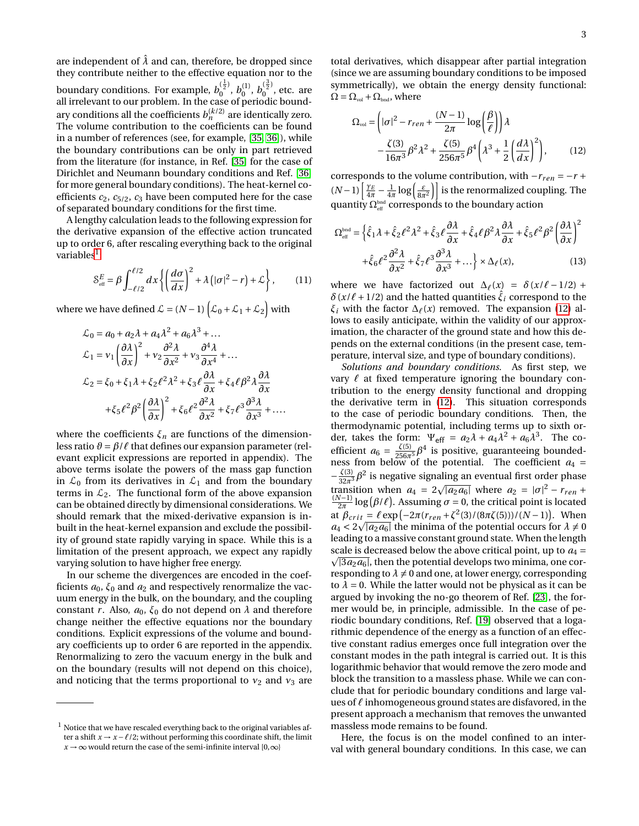are independent of  $\hat{\lambda}$  and can, therefore, be dropped since they contribute neither to the effective equation nor to the boundary conditions. For example,  $b_0^{(\frac{1}{2})}$  $\binom{\frac{1}{2}}{0},\ b_0^{(1)},\ b_0^{(\frac{3}{2})}$  $\int_{0}^{27}$ , etc. are all irrelevant to our problem. In the case of periodic boundary conditions all the coefficients  $b_n^{(k/2)}$  are identically zero. The volume contribution to the coefficients can be found in a number of references (see, for example, [\[35,](#page-6-6) [36\]](#page-6-7)), while the boundary contributions can be only in part retrieved from the literature (for instance, in Ref. [\[35\]](#page-6-6) for the case of Dirichlet and Neumann boundary conditions and Ref. [\[36\]](#page-6-7) for more general boundary conditions). The heat-kernel coefficients  $c_2$ ,  $c_{5/2}$ ,  $c_3$  have been computed here for the case of separated boundary conditions for the first time.

A lengthy calculation leads to the following expression for the derivative expansion of the effective action truncated up to order 6, after rescaling everything back to the original variables $^{\rm l}$  :

$$
S_{\text{eff}}^{E} = \beta \int_{-\ell/2}^{\ell/2} dx \left\{ \left( \frac{d\sigma}{dx} \right)^{2} + \lambda \left( |\sigma|^{2} - r \right) + \mathcal{L} \right\}, \qquad (11)
$$

where we have defined  $\mathcal{L} = (N-1)\left[\mathcal{L}_0 + \mathcal{L}_1 + \mathcal{L}_2\right]$  with

<span id="page-2-1"></span>
$$
\mathcal{L}_0 = a_0 + a_2 \lambda + a_4 \lambda^2 + a_6 \lambda^3 + \dots
$$
  
\n
$$
\mathcal{L}_1 = v_1 \left(\frac{\partial \lambda}{\partial x}\right)^2 + v_2 \frac{\partial^2 \lambda}{\partial x^2} + v_3 \frac{\partial^4 \lambda}{\partial x^4} + \dots
$$
  
\n
$$
\mathcal{L}_2 = \xi_0 + \xi_1 \lambda + \xi_2 \ell^2 \lambda^2 + \xi_3 \ell \frac{\partial \lambda}{\partial x} + \xi_4 \ell \beta^2 \lambda \frac{\partial \lambda}{\partial x}
$$
  
\n
$$
+ \xi_5 \ell^2 \beta^2 \left(\frac{\partial \lambda}{\partial x}\right)^2 + \xi_6 \ell^2 \frac{\partial^2 \lambda}{\partial x^2} + \xi_7 \ell^3 \frac{\partial^3 \lambda}{\partial x^3} + \dots
$$

where the coefficients  $\xi_n$  are functions of the dimensionless ratio  $\vartheta = \beta / \ell$  that defines our expansion parameter (relevant explicit expressions are reported in appendix). The above terms isolate the powers of the mass gap function in  $\mathcal{L}_0$  from its derivatives in  $\mathcal{L}_1$  and from the boundary terms in  $\mathcal{L}_2$ . The functional form of the above expansion can be obtained directly by dimensional considerations. We should remark that the mixed-derivative expansion is inbuilt in the heat-kernel expansion and exclude the possibility of ground state rapidly varying in space. While this is a limitation of the present approach, we expect any rapidly varying solution to have higher free energy.

In our scheme the divergences are encoded in the coefficients  $a_0$ ,  $\xi_0$  and  $a_2$  and respectively renormalize the vacuum energy in the bulk, on the boundary, and the coupling constant *r*. Also,  $a_0$ ,  $\xi_0$  do not depend on  $\lambda$  and therefore change neither the effective equations nor the boundary conditions. Explicit expressions of the volume and boundary coefficients up to order 6 are reported in the appendix. Renormalizing to zero the vacuum energy in the bulk and on the boundary (results will not depend on this choice), and noticing that the terms proportional to  $v_2$  and  $v_3$  are

total derivatives, which disappear after partial integration (since we are assuming boundary conditions to be imposed symmetrically), we obtain the energy density functional:  $\Omega = \Omega_{\text{vol}} + \Omega_{\text{bnd}}$ , where

$$
\Omega_{\text{vol}} = \left( |\sigma|^2 - r_{ren} + \frac{(N-1)}{2\pi} \log \left( \frac{\beta}{\ell} \right) \right) \lambda
$$

$$
- \frac{\zeta(3)}{16\pi^3} \beta^2 \lambda^2 + \frac{\zeta(5)}{256\pi^5} \beta^4 \left( \lambda^3 + \frac{1}{2} \left( \frac{d\lambda}{dx} \right)^2 \right), \tag{12}
$$

corresponds to the volume contribution, with  $-r_{ren} = -r +$  $(N-1)\left[\frac{\gamma_E}{4\pi} - \frac{1}{4\pi}\log\left(\frac{\varepsilon}{8\pi^2}\right)\right]$  is the renormalized coupling. The quantity  $\Omega_{\text{\tiny eff}}^{\text{\tiny bad}}$  corresponds to the boundary action

$$
\Omega_{\text{eff}}^{\text{bnd}} = \left\{ \hat{\xi}_1 \lambda + \hat{\xi}_2 \ell^2 \lambda^2 + \hat{\xi}_3 \ell \frac{\partial \lambda}{\partial x} + \hat{\xi}_4 \ell \beta^2 \lambda \frac{\partial \lambda}{\partial x} + \hat{\xi}_5 \ell^2 \beta^2 \left( \frac{\partial \lambda}{\partial x} \right)^2 + \hat{\xi}_6 \ell^2 \frac{\partial^2 \lambda}{\partial x^2} + \hat{\xi}_7 \ell^3 \frac{\partial^3 \lambda}{\partial x^3} + \dots \right\} \times \Delta_\ell(x),\tag{13}
$$

where we have factorized out  $\Delta_{\ell}(x) = \delta(x/\ell - 1/2)$  +  $\delta(x/\ell + 1/2)$  and the hatted quantities  $\xi_i$  correspond to the *ξ*<sup>*i*</sup> with the factor  $\Delta$ <sub>*ℓ*</sub>(*x*) removed. The expansion [\(12\)](#page-2-1) allows to easily anticipate, within the validity of our approximation, the character of the ground state and how this depends on the external conditions (in the present case, temperature, interval size, and type of boundary conditions).

*Solutions and boundary conditions.* As first step, we vary  $\ell$  at fixed temperature ignoring the boundary contribution to the energy density functional and dropping the derivative term in [\(12\)](#page-2-1). This situation corresponds to the case of periodic boundary conditions. Then, the thermodynamic potential, including terms up to sixth order, takes the form:  $\Psi_{\text{eff}} = a_2 \lambda + a_4 \lambda^2 + a_6 \lambda^3$ . The coefficient  $a_6 = \frac{\zeta(5)}{256\pi^5} \beta^4$  is positive, guaranteeing boundedness from below of the potential. The coefficient  $a_4 =$  $-\frac{\zeta(3)}{32\pi^3}\beta^2$  is negative signaling an eventual first order phase transition when  $a_4 = 2\sqrt{|a_2 a_6|}$  where  $a_2 = |\sigma|^2 - r_{ren} +$  $\frac{(N-1)}{2\pi}$  log( $\beta/\ell$ ). Assuming  $\sigma = 0$ , the critical point is located at  $\beta_{crit} = \ell \exp(-2\pi (r_{ren} + \zeta^2(3)/(8\pi\zeta(5)))/(N-1))$ . When  $a_4 < 2\sqrt{|a_2 a_6|}$  the minima of the potential occurs for  $\lambda \neq 0$ leading to a massive constant ground state. When the length scale is decreased below the above critical point, up to  $a_4$  =  $\sqrt{3a_2a_6}$ , then the potential develops two minima, one corresponding to  $\lambda \neq 0$  and one, at lower energy, corresponding to  $\lambda = 0$ . While the latter would not be physical as it can be argued by invoking the no-go theorem of Ref. [\[23\]](#page-5-9), the former would be, in principle, admissible. In the case of periodic boundary conditions, Ref. [\[19\]](#page-5-12) observed that a logarithmic dependence of the energy as a function of an effective constant radius emerges once full integration over the constant modes in the path integral is carried out. It is this logarithmic behavior that would remove the zero mode and block the transition to a massless phase. While we can conclude that for periodic boundary conditions and large values of  $\ell$  inhomogeneous ground states are disfavored, in the present approach a mechanism that removes the unwanted massless mode remains to be found.

Here, the focus is on the model confined to an interval with general boundary conditions. In this case, we can

<span id="page-2-0"></span> $<sup>1</sup>$  Notice that we have rescaled everything back to the original variables af-</sup> ter a shift  $x \rightarrow x - \ell/2$ ; without performing this coordinate shift, the limit  $x \rightarrow \infty$  would return the case of the semi-infinite interval [0, $\infty$ ]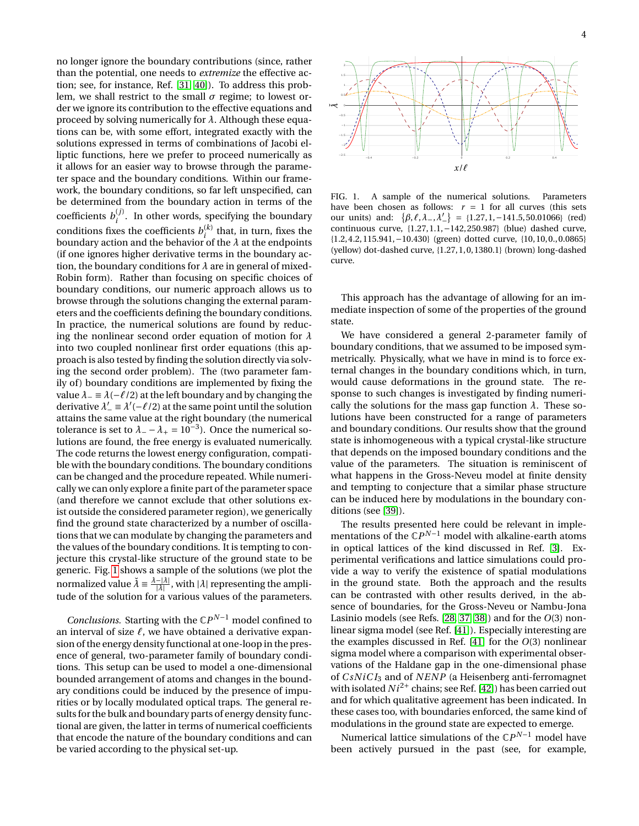no longer ignore the boundary contributions (since, rather than the potential, one needs to *extremize* the effective action; see, for instance, Ref. [\[31,](#page-6-8) [40\]](#page-6-9)). To address this problem, we shall restrict to the small *σ* regime; to lowest order we ignore its contribution to the effective equations and proceed by solving numerically for *λ*. Although these equations can be, with some effort, integrated exactly with the solutions expressed in terms of combinations of Jacobi elliptic functions, here we prefer to proceed numerically as it allows for an easier way to browse through the parameter space and the boundary conditions. Within our framework, the boundary conditions, so far left unspecified, can be determined from the boundary action in terms of the coefficients  $b_i^{(j)}$  $i$ <sup>(*j*</sup>). In other words, specifying the boundary conditions fixes the coefficients  $b_i^{(k)}$  $i^{(k)}$  that, in turn, fixes the boundary action and the behavior of the *λ* at the endpoints (if one ignores higher derivative terms in the boundary action, the boundary conditions for *λ* are in general of mixed-Robin form). Rather than focusing on specific choices of boundary conditions, our numeric approach allows us to browse through the solutions changing the external parameters and the coefficients defining the boundary conditions. In practice, the numerical solutions are found by reducing the nonlinear second order equation of motion for *λ* into two coupled nonlinear first order equations (this approach is also tested by finding the solution directly via solving the second order problem). The (two parameter family of) boundary conditions are implemented by fixing the value  $\lambda_-\equiv \lambda(-\ell/2)$  at the left boundary and by changing the derivative  $\lambda' = \lambda'(-\ell/2)$  at the same point until the solution attains the same value at the right boundary (the numerical tolerance is set to  $\lambda = -\lambda_{+} = 10^{-3}$ . Once the numerical solutions are found, the free energy is evaluated numerically. The code returns the lowest energy configuration, compatible with the boundary conditions. The boundary conditions can be changed and the procedure repeated. While numerically we can only explore a finite part of the parameter space (and therefore we cannot exclude that other solutions exist outside the considered parameter region), we generically find the ground state characterized by a number of oscillations that we can modulate by changing the parameters and the values of the boundary conditions. It is tempting to conjecture this crystal-like structure of the ground state to be generic. Fig. [1](#page-3-0) shows a sample of the solutions (we plot the normalized value  $\tilde{\lambda} = \frac{\lambda - |\lambda|}{|\lambda|}$ , with  $|\lambda|$  representing the amplitude of the solution for a various values of the parameters.

*Conclusions.* Starting with the  $\mathbb{C}P^{N-1}$  model confined to an interval of size  $\ell$ , we have obtained a derivative expansion of the energy density functional at one-loop in the presence of general, two-parameter family of boundary conditions. This setup can be used to model a one-dimensional bounded arrangement of atoms and changes in the boundary conditions could be induced by the presence of impurities or by locally modulated optical traps. The general results for the bulk and boundary parts of energy density functional are given, the latter in terms of numerical coefficients that encode the nature of the boundary conditions and can be varied according to the physical set-up.



<span id="page-3-0"></span>have been chosen as follows:  $r = 1$  for all curves (this sets FIG. 1. A sample of the numerical solutions. Parameters our units) and:  $\{\beta, \ell, \lambda_-, \lambda_-' \} = \{1.27, 1, -141.5, 50.01066\}$  (red) continuous curve, {1.27, 1.1,−142, 250.987} (blue) dashed curve, {1.2, 4.2, 115.941,−10.430} (green) dotted curve, {10, 10, 0., 0.0865} (yellow) dot-dashed curve, {1.27, 1, 0, 1380.1} (brown) long-dashed curve.

This approach has the advantage of allowing for an immediate inspection of some of the properties of the ground state.

We have considered a general 2-parameter family of boundary conditions, that we assumed to be imposed symmetrically. Physically, what we have in mind is to force external changes in the boundary conditions which, in turn, would cause deformations in the ground state. The response to such changes is investigated by finding numerically the solutions for the mass gap function  $\lambda$ . These solutions have been constructed for a range of parameters and boundary conditions. Our results show that the ground state is inhomogeneous with a typical crystal-like structure that depends on the imposed boundary conditions and the value of the parameters. The situation is reminiscent of what happens in the Gross-Neveu model at finite density and tempting to conjecture that a similar phase structure can be induced here by modulations in the boundary conditions (see [\[39\]](#page-6-10)).

The results presented here could be relevant in implementations of the C*P <sup>N</sup>*−<sup>1</sup> model with alkaline-earth atoms in optical lattices of the kind discussed in Ref. [\[3\]](#page-5-2). Experimental verifications and lattice simulations could provide a way to verify the existence of spatial modulations in the ground state. Both the approach and the results can be contrasted with other results derived, in the absence of boundaries, for the Gross-Neveu or Nambu-Jona Lasinio models (see Refs. [\[28,](#page-6-3) [37,](#page-6-11) [38\]](#page-6-12)) and for the *O*(3) nonlinear sigma model (see Ref. [\[41\]](#page-6-13)). Especially interesting are the examples discussed in Ref. [\[41\]](#page-6-13) for the *O*(3) nonlinear sigma model where a comparison with experimental observations of the Haldane gap in the one-dimensional phase of *CsNiCI*<sub>3</sub> and of *NENP* (a Heisenberg anti-ferromagnet with isolated  $Ni^{2+}$  chains; see Ref. [\[42\]](#page-6-14)) has been carried out and for which qualitative agreement has been indicated. In these cases too, with boundaries enforced, the same kind of modulations in the ground state are expected to emerge.

Numerical lattice simulations of the C*P <sup>N</sup>*−<sup>1</sup> model have been actively pursued in the past (see, for example,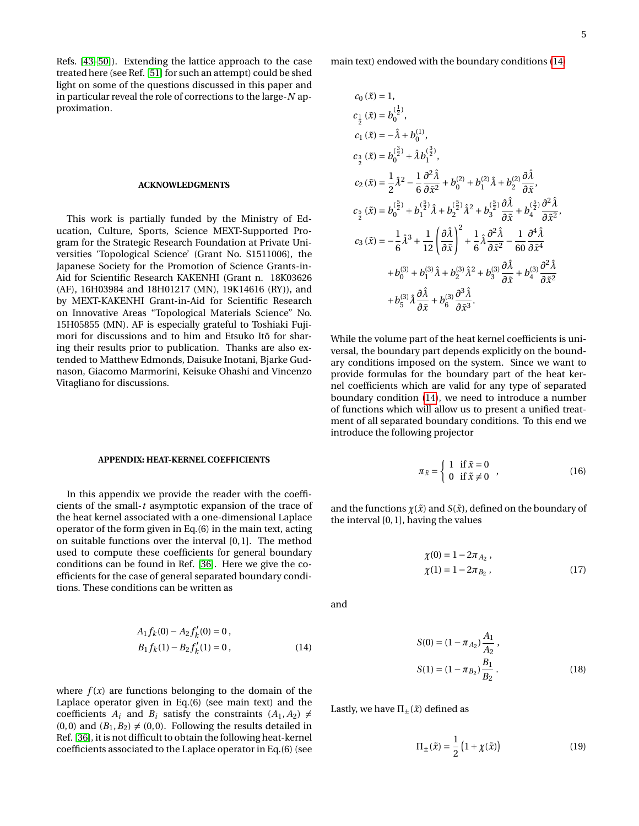Refs. [\[43–](#page-6-15)[50\]](#page-6-16)). Extending the lattice approach to the case treated here (see Ref. [\[51\]](#page-6-17) for such an attempt) could be shed light on some of the questions discussed in this paper and in particular reveal the role of corrections to the large-*N* approximation.

## **ACKNOWLEDGMENTS**

This work is partially funded by the Ministry of Education, Culture, Sports, Science MEXT-Supported Program for the Strategic Research Foundation at Private Universities 'Topological Science' (Grant No. S1511006), the Japanese Society for the Promotion of Science Grants-in-Aid for Scientific Research KAKENHI (Grant n. 18K03626 (AF), 16H03984 and 18H01217 (MN), 19K14616 (RY)), and by MEXT-KAKENHI Grant-in-Aid for Scientific Research on Innovative Areas "Topological Materials Science" No. 15H05855 (MN). AF is especially grateful to Toshiaki Fujimori for discussions and to him and Etsuko Itō for sharing their results prior to publication. Thanks are also extended to Matthew Edmonds, Daisuke Inotani, Bjarke Gudnason, Giacomo Marmorini, Keisuke Ohashi and Vincenzo Vitagliano for discussions.

## **APPENDIX: HEAT-KERNEL COEFFICIENTS**

In this appendix we provide the reader with the coefficients of the small-*t* asymptotic expansion of the trace of the heat kernel associated with a one-dimensional Laplace operator of the form given in Eq.(6) in the main text, acting on suitable functions over the interval [0, 1]. The method used to compute these coefficients for general boundary conditions can be found in Ref. [\[36\]](#page-6-7). Here we give the coefficients for the case of general separated boundary conditions. These conditions can be written as

<span id="page-4-0"></span>
$$
A_1 f_k(0) - A_2 f'_k(0) = 0,
$$
  
\n
$$
B_1 f_k(1) - B_2 f'_k(1) = 0,
$$
\n(14)

where  $f(x)$  are functions belonging to the domain of the Laplace operator given in Eq.(6) (see main text) and the coefficients  $A_i$  and  $B_i$  satisfy the constraints  $(A_1, A_2) \neq$  $(0, 0)$  and  $(B_1, B_2) \neq (0, 0)$ . Following the results detailed in Ref. [\[36\]](#page-6-7), it is not difficult to obtain the following heat-kernel coefficients associated to the Laplace operator in Eq.(6) (see main text) endowed with the boundary conditions [\(14\)](#page-4-0)

$$
c_0(\tilde{x}) = 1,
$$
  
\n
$$
c_{\frac{1}{2}}(\tilde{x}) = b_0^{(\frac{1}{2})},
$$
  
\n
$$
c_1(\tilde{x}) = -\hat{\lambda} + b_0^{(1)},
$$
  
\n
$$
c_{\frac{3}{2}}(\tilde{x}) = b_0^{(\frac{3}{2})} + \hat{\lambda} b_1^{(\frac{3}{2})},
$$
  
\n
$$
c_2(\tilde{x}) = \frac{1}{2} \hat{\lambda}^2 - \frac{1}{6} \frac{\partial^2 \hat{\lambda}}{\partial \tilde{x}^2} + b_0^{(2)} + b_1^{(2)} \hat{\lambda} + b_2^{(2)} \frac{\partial \hat{\lambda}}{\partial \tilde{x}},
$$
  
\n
$$
c_{\frac{5}{2}}(\tilde{x}) = b_0^{(\frac{5}{2})} + b_1^{(\frac{5}{2})} \hat{\lambda} + b_2^{(\frac{5}{2})} \hat{\lambda}^2 + b_3^{(\frac{5}{2})} \frac{\partial \hat{\lambda}}{\partial \tilde{x}} + b_4^{(\frac{5}{2})} \frac{\partial^2 \hat{\lambda}}{\partial \tilde{x}^2},
$$
  
\n
$$
c_3(\tilde{x}) = -\frac{1}{6} \hat{\lambda}^3 + \frac{1}{12} \left( \frac{\partial \hat{\lambda}}{\partial \tilde{x}} \right)^2 + \frac{1}{6} \hat{\lambda} \frac{\partial^2 \hat{\lambda}}{\partial \tilde{x}^2} - \frac{1}{60} \frac{\partial^4 \hat{\lambda}}{\partial \tilde{x}^4} + b_0^{(3)} + b_1^{(3)} \hat{\lambda} + b_2^{(3)} \hat{\lambda}^2 + b_3^{(3)} \frac{\partial \hat{\lambda}}{\partial \tilde{x}} + b_4^{(3)} \frac{\partial^2 \hat{\lambda}}{\partial \tilde{x}^2} + b_5^{(3)} \hat{\lambda} \frac{\partial \hat{\lambda}}{\partial \tilde{x}} + b_6^{(3)} \frac{\partial^3 \hat{\lambda}}{\partial \tilde{x}^3}.
$$

While the volume part of the heat kernel coefficients is universal, the boundary part depends explicitly on the boundary conditions imposed on the system. Since we want to provide formulas for the boundary part of the heat kernel coefficients which are valid for any type of separated boundary condition [\(14\)](#page-4-0), we need to introduce a number of functions which will allow us to present a unified treatment of all separated boundary conditions. To this end we introduce the following projector

$$
\pi_{\tilde{x}} = \begin{cases} 1 & \text{if } \tilde{x} = 0 \\ 0 & \text{if } \tilde{x} \neq 0 \end{cases},
$$
 (16)

and the functions  $\chi(\tilde{x})$  and  $S(\tilde{x})$ , defined on the boundary of the interval  $[0, 1]$ , having the values

$$
\begin{aligned} \chi(0) &= 1 - 2\pi_{A_2} \,, \\ \chi(1) &= 1 - 2\pi_{B_2} \,, \end{aligned} \tag{17}
$$

and

$$
S(0) = (1 - \pi_{A_2}) \frac{A_1}{A_2},
$$
  
\n
$$
S(1) = (1 - \pi_{B_2}) \frac{B_1}{B_2}.
$$
\n(18)

Lastly, we have  $\Pi_{\pm}(\tilde{x})$  defined as

$$
\Pi_{\pm}(\tilde{x}) = \frac{1}{2} \left( 1 + \chi(\tilde{x}) \right) \tag{19}
$$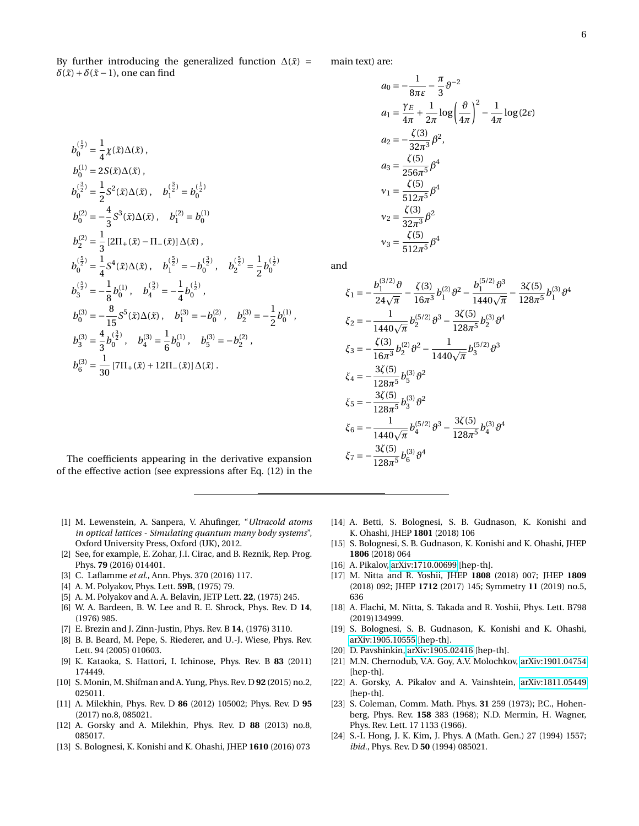By further introducing the generalized function  $\Delta(\tilde{x})$  =  $\delta(\tilde{x}) + \delta(\tilde{x} - 1)$ , one can find

$$
b_0^{(\frac{1}{2})} = \frac{1}{4} \chi(\tilde{x}) \Delta(\tilde{x}),
$$
  
\n
$$
b_0^{(1)} = 2S(\tilde{x}) \Delta(\tilde{x}),
$$
  
\n
$$
b_0^{(\frac{3}{2})} = \frac{1}{2} S^2(\tilde{x}) \Delta(\tilde{x}),
$$
  
\n
$$
b_0^{(\frac{3}{2})} = -\frac{4}{3} S^3(\tilde{x}) \Delta(\tilde{x}),
$$
  
\n
$$
b_1^{(2)} = -\frac{4}{3} S^3(\tilde{x}) \Delta(\tilde{x}),
$$
  
\n
$$
b_1^{(\frac{5}{2})} = \frac{1}{3} [2\Pi_+(\tilde{x}) - \Pi_-(\tilde{x})] \Delta(\tilde{x}),
$$
  
\n
$$
b_0^{(\frac{5}{2})} = \frac{1}{4} S^4(\tilde{x}) \Delta(\tilde{x}),
$$
  
\n
$$
b_1^{(\frac{5}{2})} = -b_0^{(\frac{3}{2})},
$$
  
\n
$$
b_2^{(\frac{5}{2})} = -\frac{1}{8} b_0^{(1)},
$$
  
\n
$$
b_1^{(\frac{5}{2})} = -\frac{1}{4} b_0^{(\frac{1}{2})},
$$
  
\n
$$
b_0^{(3)} = -\frac{8}{15} S^5(\tilde{x}) \Delta(\tilde{x}),
$$
  
\n
$$
b_1^{(3)} = \frac{4}{3} b_0^{(\frac{3}{2})},
$$
  
\n
$$
b_0^{(3)} = \frac{4}{3} b_0^{(\frac{3}{2})},
$$
  
\n
$$
b_0^{(3)} = \frac{1}{30} [7\Pi_+(\tilde{x}) + 12\Pi_-(\tilde{x})] \Delta(\tilde{x}).
$$

The coefficients appearing in the derivative expansion of the effective action (see expressions after Eq. (12) in the

- <span id="page-5-0"></span>[1] M. Lewenstein, A. Sanpera, V. Ahufinger, "*Ultracold atoms in optical lattices - Simulating quantum many body systems*", Oxford University Press, Oxford (UK), 2012.
- <span id="page-5-1"></span>[2] See, for example, E. Zohar, J.I. Cirac, and B. Reznik, Rep. Prog. Phys. **79** (2016) 014401.
- <span id="page-5-2"></span>[3] C. Laflamme *et al.*, Ann. Phys. 370 (2016) 117.
- <span id="page-5-3"></span>[4] A. M. Polyakov, Phys. Lett. **59B**, (1975) 79.
- [5] A. M. Polyakov and A. A. Belavin, JETP Lett. **22**, (1975) 245.
- [6] W. A. Bardeen, B. W. Lee and R. E. Shrock, Phys. Rev. D **14**, (1976) 985.
- <span id="page-5-4"></span>[7] E. Brezin and J. Zinn-Justin, Phys. Rev. B **14**, (1976) 3110.
- <span id="page-5-5"></span>[8] B. B. Beard, M. Pepe, S. Riederer, and U.-J. Wiese, Phys. Rev. Lett. 94 (2005) 010603.
- <span id="page-5-6"></span>[9] K. Kataoka, S. Hattori, I. Ichinose, Phys. Rev. B **83** (2011) 174449.
- <span id="page-5-7"></span>[10] S. Monin, M. Shifman and A. Yung, Phys. Rev. D **92** (2015) no.2, 025011.
- <span id="page-5-10"></span>[11] A. Milekhin, Phys. Rev. D **86** (2012) 105002; Phys. Rev. D **95** (2017) no.8, 085021.
- [12] A. Gorsky and A. Milekhin, Phys. Rev. D **88** (2013) no.8, 085017.
- [13] S. Bolognesi, K. Konishi and K. Ohashi, JHEP **1610** (2016) 073

main text) are:

$$
a_0 = -\frac{1}{8\pi\varepsilon} - \frac{\pi}{3} \theta^{-2}
$$
  
\n
$$
a_1 = \frac{\gamma_E}{4\pi} + \frac{1}{2\pi} \log \left(\frac{\theta}{4\pi}\right)^2 - \frac{1}{4\pi} \log(2\varepsilon)
$$
  
\n
$$
a_2 = -\frac{\zeta(3)}{32\pi^3} \beta^2,
$$
  
\n
$$
a_3 = \frac{\zeta(5)}{256\pi^5} \beta^4
$$
  
\n
$$
v_1 = \frac{\zeta(5)}{512\pi^5} \beta^4
$$
  
\n
$$
v_2 = \frac{\zeta(3)}{32\pi^3} \beta^2
$$
  
\n
$$
v_3 = \frac{\zeta(5)}{512\pi^5} \beta^4
$$

and

$$
\xi_1 = -\frac{b_1^{(3/2)} \vartheta}{24\sqrt{\pi}} - \frac{\zeta(3)}{16\pi^3} b_1^{(2)} \vartheta^2 - \frac{b_1^{(5/2)} \vartheta^3}{1440\sqrt{\pi}} - \frac{3\zeta(5)}{128\pi^5} b_1^{(3)} \vartheta^4
$$
  
\n
$$
\xi_2 = -\frac{1}{1440\sqrt{\pi}} b_2^{(5/2)} \vartheta^3 - \frac{3\zeta(5)}{128\pi^5} b_2^{(3)} \vartheta^4
$$
  
\n
$$
\xi_3 = -\frac{\zeta(3)}{16\pi^3} b_2^{(2)} \vartheta^2 - \frac{1}{1440\sqrt{\pi}} b_3^{(5/2)} \vartheta^3
$$
  
\n
$$
\xi_4 = -\frac{3\zeta(5)}{128\pi^5} b_5^{(3)} \vartheta^2
$$
  
\n
$$
\xi_5 = -\frac{3\zeta(5)}{128\pi^5} b_3^{(3)} \vartheta^2
$$
  
\n
$$
\xi_6 = -\frac{1}{1440\sqrt{\pi}} b_4^{(5/2)} \vartheta^3 - \frac{3\zeta(5)}{128\pi^5} b_4^{(3)} \vartheta^4
$$
  
\n
$$
\xi_7 = -\frac{3\zeta(5)}{128\pi^5} b_6^{(3)} \vartheta^4
$$

- [14] A. Betti, S. Bolognesi, S. B. Gudnason, K. Konishi and K. Ohashi, JHEP **1801** (2018) 106
- [15] S. Bolognesi, S. B. Gudnason, K. Konishi and K. Ohashi, JHEP **1806** (2018) 064
- [16] A. Pikalov, [arXiv:1710.00699](http://arxiv.org/abs/1710.00699) [hep-th].
- [17] M. Nitta and R. Yoshii, JHEP **1808** (2018) 007; JHEP **1809** (2018) 092; JHEP **1712** (2017) 145; Symmetry **11** (2019) no.5, 636
- [18] A. Flachi, M. Nitta, S. Takada and R. Yoshii, Phys. Lett. B798 (2019)134999.
- <span id="page-5-12"></span>[19] S. Bolognesi, S. B. Gudnason, K. Konishi and K. Ohashi, [arXiv:1905.10555](http://arxiv.org/abs/1905.10555) [hep-th].
- [20] D. Pavshinkin, [arXiv:1905.02416](http://arxiv.org/abs/1905.02416) [hep-th].
- [21] M.N. Chernodub, V.A. Goy, A.V. Molochkov, [arXiv:1901.04754](http://arxiv.org/abs/1901.04754) [hep-th].
- <span id="page-5-8"></span>[22] A. Gorsky, A. Pikalov and A. Vainshtein, [arXiv:1811.05449](http://arxiv.org/abs/1811.05449) [hep-th].
- <span id="page-5-9"></span>[23] S. Coleman, Comm. Math. Phys. **31** 259 (1973); P.C., Hohenberg, Phys. Rev. **158** 383 (1968); N.D. Mermin, H. Wagner, Phys. Rev. Lett. 17 1133 (1966).
- <span id="page-5-11"></span>[24] S.-I. Hong, J. K. Kim, J. Phys. **A** (Math. Gen.) 27 (1994) 1557; *ibid.*, Phys. Rev. D **50** (1994) 085021.